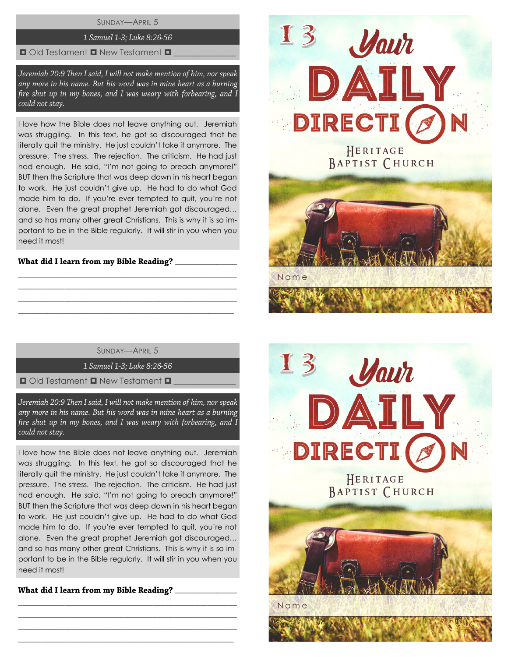## SUNDAY—APRIL 5

# 1 Samuel 1-3; Luke 8:26-56

#### $\Box$  Old Testament  $\Box$  New Testament  $\Box$

Jeremiah 20:9 Then I said, I will not make mention of him, nor speak any more in his name. But his word was in mine heart as a burning fire shut up in my bones, and I was weary with forbearing, and I could not stay.

I love how the Bible does not leave anything out. Jeremiah was struggling. In this text, he got so discouraged that he literally quit the ministry. He just couldn't take it anymore. The pressure. The stress. The rejection. The criticism. He had just had enough. He said, "I'm not going to preach anymore!" BUT then the Scripture that was deep down in his heart began to work. He just couldn't give up. He had to do what God made him to do. If you're ever tempted to quit, you're not alone. Even the great prophet Jeremiah got discouraged… and so has many other great Christians. This is why it is so important to be in the Bible regularly. It will stir in you when you need it most!

## What did I learn from my Bible Reading?

SUNDAY—APRIL 5

\_\_\_\_\_\_\_\_\_\_\_\_\_\_\_\_\_\_\_\_\_\_\_\_\_\_\_\_\_\_\_\_\_\_\_\_\_\_\_\_\_\_\_\_\_\_\_\_\_\_\_\_ \_\_\_\_\_\_\_\_\_\_\_\_\_\_\_\_\_\_\_\_\_\_\_\_\_\_\_\_\_\_\_\_\_\_\_\_\_\_\_\_\_\_\_\_\_\_\_\_\_\_\_\_ \_\_\_\_\_\_\_\_\_\_\_\_\_\_\_\_\_\_\_\_\_\_\_\_\_\_\_\_\_\_\_\_\_\_\_\_\_\_\_\_\_\_\_\_\_\_\_\_\_\_\_\_  $\_$  , and the set of the set of the set of the set of the set of the set of the set of the set of the set of the set of the set of the set of the set of the set of the set of the set of the set of the set of the set of th

1 Samuel 1-3; Luke 8:26-56

 $\Box$  Old Testament  $\Box$  New Testament  $\Box$ 

Jeremiah 20:9 Then I said, I will not make mention of him, nor speak any more in his name. But his word was in mine heart as a burning fire shut up in my bones, and I was weary with forbearing, and I could not stay.

I love how the Bible does not leave anything out. Jeremiah was struggling. In this text, he got so discouraged that he literally quit the ministry. He just couldn't take it anymore. The pressure. The stress. The rejection. The criticism. He had just had enough. He said, "I'm not going to preach anymore!" BUT then the Scripture that was deep down in his heart began to work. He just couldn't give up. He had to do what God made him to do. If you're ever tempted to quit, you're not alone. Even the great prophet Jeremiah got discouraged… and so has many other great Christians. This is why it is so important to be in the Bible regularly. It will stir in you when you need it most!

\_\_\_\_\_\_\_\_\_\_\_\_\_\_\_\_\_\_\_\_\_\_\_\_\_\_\_\_\_\_\_\_\_\_\_\_\_\_\_\_\_\_\_\_\_\_\_\_\_\_\_\_ \_\_\_\_\_\_\_\_\_\_\_\_\_\_\_\_\_\_\_\_\_\_\_\_\_\_\_\_\_\_\_\_\_\_\_\_\_\_\_\_\_\_\_\_\_\_\_\_\_\_\_\_ \_\_\_\_\_\_\_\_\_\_\_\_\_\_\_\_\_\_\_\_\_\_\_\_\_\_\_\_\_\_\_\_\_\_\_\_\_\_\_\_\_\_\_\_\_\_\_\_\_\_\_\_  $\_$  , and the set of the set of the set of the set of the set of the set of the set of the set of the set of the set of the set of the set of the set of the set of the set of the set of the set of the set of the set of th

What did I learn from my Bible Reading? \_\_\_\_\_\_\_\_\_\_



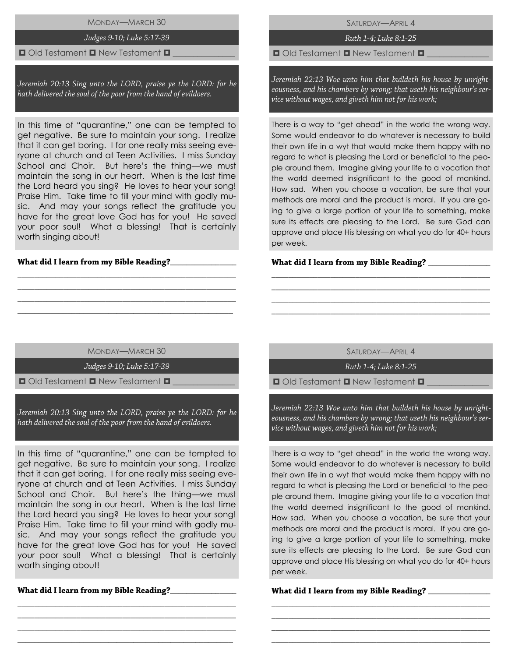## MONDAY—MARCH 30

#### Judges 9-10; Luke 5:17-39

#### $\Box$  Old Testament  $\Box$  New Testament  $\Box$

Jeremiah 20:13 Sing unto the LORD, praise ye the LORD: for he hath delivered the soul of the poor from the hand of evildoers.

In this time of "quarantine," one can be tempted to get negative. Be sure to maintain your song. I realize that it can get boring. I for one really miss seeing everyone at church and at Teen Activities. I miss Sunday School and Choir. But here's the thing—we must maintain the song in our heart. When is the last time the Lord heard you sing? He loves to hear your song! Praise Him. Take time to fill your mind with godly music. And may your songs reflect the gratitude you have for the great love God has for you! He saved your poor soul! What a blessing! That is certainly worth singing about!

## What did I learn from my Bible Reading?\_\_

SATURDAY—APRIL 4

Ruth 1-4; Luke 8:1-25

 $\Box$  Old Testament  $\Box$  New Testament  $\Box$ 

Jeremiah 22:13 Woe unto him that buildeth his house by unrighteousness, and his chambers by wrong; that useth his neighbour's service without wages, and giveth him not for his work;

There is a way to "get ahead" in the world the wrong way. Some would endeavor to do whatever is necessary to build their own life in a wyt that would make them happy with no regard to what is pleasing the Lord or beneficial to the people around them. Imagine giving your life to a vocation that the world deemed insignificant to the good of mankind. How sad. When you choose a vocation, be sure that your methods are moral and the product is moral. If you are going to give a large portion of your life to something, make sure its effects are pleasing to the Lord. Be sure God can approve and place His blessing on what you do for 40+ hours per week.

#### What did I learn from my Bible Reading?

MONDAY—MARCH 30

\_\_\_\_\_\_\_\_\_\_\_\_\_\_\_\_\_\_\_\_\_\_\_\_\_\_\_\_\_\_\_\_\_\_\_\_\_\_\_\_\_\_\_\_\_\_\_\_\_\_\_\_ \_\_\_\_\_\_\_\_\_\_\_\_\_\_\_\_\_\_\_\_\_\_\_\_\_\_\_\_\_\_\_\_\_\_\_\_\_\_\_\_\_\_\_\_\_\_\_\_\_\_\_\_ \_\_\_\_\_\_\_\_\_\_\_\_\_\_\_\_\_\_\_\_\_\_\_\_\_\_\_\_\_\_\_\_\_\_\_\_\_\_\_\_\_\_\_\_\_\_\_\_\_\_\_\_ \_\_\_\_\_\_\_\_\_\_\_\_\_\_\_\_\_\_\_\_\_\_\_\_\_\_\_\_\_\_\_\_\_\_\_\_\_\_\_\_\_\_\_\_\_\_\_\_\_\_\_\_

Judges 9-10; Luke 5:17-39

 $\Box$  Old Testament  $\Box$  New Testament  $\Box$ 

Jeremiah 20:13 Sing unto the LORD, praise ye the LORD: for he hath delivered the soul of the poor from the hand of evildoers.

In this time of "quarantine," one can be tempted to get negative. Be sure to maintain your song. I realize that it can get boring. I for one really miss seeing everyone at church and at Teen Activities. I miss Sunday School and Choir. But here's the thing—we must maintain the song in our heart. When is the last time the Lord heard you sing? He loves to hear your song! Praise Him. Take time to fill your mind with godly music. And may your songs reflect the gratitude you have for the great love God has for you! He saved your poor soul! What a blessing! That is certainly worth singing about!

\_\_\_\_\_\_\_\_\_\_\_\_\_\_\_\_\_\_\_\_\_\_\_\_\_\_\_\_\_\_\_\_\_\_\_\_\_\_\_\_\_\_\_\_\_\_\_\_\_\_\_\_ \_\_\_\_\_\_\_\_\_\_\_\_\_\_\_\_\_\_\_\_\_\_\_\_\_\_\_\_\_\_\_\_\_\_\_\_\_\_\_\_\_\_\_\_\_\_\_\_\_\_\_\_ \_\_\_\_\_\_\_\_\_\_\_\_\_\_\_\_\_\_\_\_\_\_\_\_\_\_\_\_\_\_\_\_\_\_\_\_\_\_\_\_\_\_\_\_\_\_\_\_\_\_\_\_ \_\_\_\_\_\_\_\_\_\_\_\_\_\_\_\_\_\_\_\_\_\_\_\_\_\_\_\_\_\_\_\_\_\_\_\_\_\_\_\_\_\_\_\_\_\_\_\_\_\_\_\_

\_\_\_\_\_\_\_\_\_\_\_\_\_\_\_\_

SATURDAY—APRIL 4

\_\_\_\_\_\_\_\_\_\_\_\_\_\_\_\_\_\_\_\_\_\_\_\_\_\_\_\_\_\_\_\_\_\_\_\_\_\_\_\_\_\_\_\_\_\_\_\_\_\_\_\_ \_\_\_\_\_\_\_\_\_\_\_\_\_\_\_\_\_\_\_\_\_\_\_\_\_\_\_\_\_\_\_\_\_\_\_\_\_\_\_\_\_\_\_\_\_\_\_\_\_\_\_\_ \_\_\_\_\_\_\_\_\_\_\_\_\_\_\_\_\_\_\_\_\_\_\_\_\_\_\_\_\_\_\_\_\_\_\_\_\_\_\_\_\_\_\_\_\_\_\_\_\_\_\_\_ \_\_\_\_\_\_\_\_\_\_\_\_\_\_\_\_\_\_\_\_\_\_\_\_\_\_\_\_\_\_\_\_\_\_\_\_\_\_\_\_\_\_\_\_\_\_\_\_\_\_\_\_

Ruth 1-4: Luke 8:1-25

 $\Box$  Old Testament  $\Box$  New Testament  $\Box$ 

Jeremiah 22:13 Woe unto him that buildeth his house by unrighteousness, and his chambers by wrong; that useth his neighbour's service without wages, and giveth him not for his work;

There is a way to "get ahead" in the world the wrong way. Some would endeavor to do whatever is necessary to build their own life in a wyt that would make them happy with no regard to what is pleasing the Lord or beneficial to the people around them. Imagine giving your life to a vocation that the world deemed insignificant to the good of mankind. How sad. When you choose a vocation, be sure that your methods are moral and the product is moral. If you are going to give a large portion of your life to something, make sure its effects are pleasing to the Lord. Be sure God can approve and place His blessing on what you do for 40+ hours per week.

\_\_\_\_\_\_\_\_\_\_\_\_\_\_\_\_\_\_\_\_\_\_\_\_\_\_\_\_\_\_\_\_\_\_\_\_\_\_\_\_\_\_\_\_\_\_\_\_\_\_\_\_ \_\_\_\_\_\_\_\_\_\_\_\_\_\_\_\_\_\_\_\_\_\_\_\_\_\_\_\_\_\_\_\_\_\_\_\_\_\_\_\_\_\_\_\_\_\_\_\_\_\_\_\_ \_\_\_\_\_\_\_\_\_\_\_\_\_\_\_\_\_\_\_\_\_\_\_\_\_\_\_\_\_\_\_\_\_\_\_\_\_\_\_\_\_\_\_\_\_\_\_\_\_\_\_\_ \_\_\_\_\_\_\_\_\_\_\_\_\_\_\_\_\_\_\_\_\_\_\_\_\_\_\_\_\_\_\_\_\_\_\_\_\_\_\_\_\_\_\_\_\_\_\_\_\_\_\_\_

## \_\_\_\_\_\_\_\_\_\_\_\_\_\_\_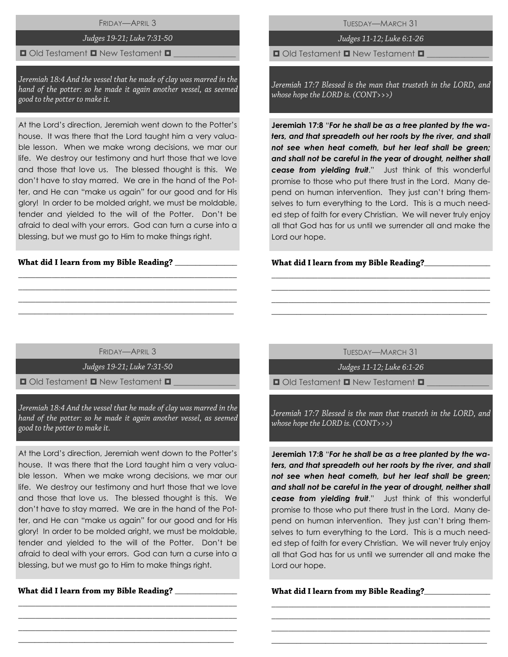FRIDAY—APRIL 3

# Judges 19-21; Luke 7:31-50

#### $\blacksquare$  Old Testament  $\blacksquare$  New Testament  $\blacksquare$

Jeremiah 18:4 And the vessel that he made of clay was marred in the hand of the potter: so he made it again another vessel, as seemed good to the potter to make it.

At the Lord's direction, Jeremiah went down to the Potter's house. It was there that the Lord taught him a very valuable lesson. When we make wrong decisions, we mar our life. We destroy our testimony and hurt those that we love and those that love us. The blessed thought is this. We don't have to stay marred. We are in the hand of the Potter, and He can "make us again" for our good and for His glory! In order to be molded aright, we must be moldable, tender and yielded to the will of the Potter. Don't be afraid to deal with your errors. God can turn a curse into a blessing, but we must go to Him to make things right.

#### What did I learn from my Bible Reading? \_\_\_\_

TUESDAY—MARCH 31

Judges 11-12; Luke 6:1-26

 $\Box$  Old Testament  $\Box$  New Testament  $\Box$ 

Jeremiah 17:7 Blessed is the man that trusteth in the LORD, and whose hope the LORD is. (CONT>>>)

**Jeremiah 17:8** "*For he shall be as a tree planted by the waters, and that spreadeth out her roots by the river, and shall not see when heat cometh, but her leaf shall be green; and shall not be careful in the year of drought, neither shall cease from yielding fruit*." Just think of this wonderful promise to those who put there trust in the Lord. Many depend on human intervention. They just can't bring themselves to turn everything to the Lord. This is a much needed step of faith for every Christian. We will never truly enjoy all that God has for us until we surrender all and make the Lord our hope.

#### **\_**\_\_\_\_\_\_\_\_\_\_\_\_\_\_\_

FRIDAY—APRIL 3

\_\_\_\_\_\_\_\_\_\_\_\_\_\_\_\_\_\_\_\_\_\_\_\_\_\_\_\_\_\_\_\_\_\_\_\_\_\_\_\_\_\_\_\_\_\_\_\_\_\_\_\_ \_\_\_\_\_\_\_\_\_\_\_\_\_\_\_\_\_\_\_\_\_\_\_\_\_\_\_\_\_\_\_\_\_\_\_\_\_\_\_\_\_\_\_\_\_\_\_\_\_\_\_\_ \_\_\_\_\_\_\_\_\_\_\_\_\_\_\_\_\_\_\_\_\_\_\_\_\_\_\_\_\_\_\_\_\_\_\_\_\_\_\_\_\_\_\_\_\_\_\_\_\_\_\_\_  $\_$  , and the set of the set of the set of the set of the set of the set of the set of the set of the set of the set of the set of the set of the set of the set of the set of the set of the set of the set of the set of th

Judges 19-21; Luke 7:31-50

 $\blacksquare$  Old Testament  $\blacksquare$  New Testament  $\blacksquare$ 

Jeremiah 18:4 And the vessel that he made of clay was marred in the hand of the potter: so he made it again another vessel, as seemed good to the potter to make it.

At the Lord's direction, Jeremiah went down to the Potter's house. It was there that the Lord taught him a very valuable lesson. When we make wrong decisions, we mar our life. We destroy our testimony and hurt those that we love and those that love us. The blessed thought is this. We don't have to stay marred. We are in the hand of the Potter, and He can "make us again" for our good and for His glory! In order to be molded aright, we must be moldable, tender and yielded to the will of the Potter. Don't be afraid to deal with your errors. God can turn a curse into a blessing, but we must go to Him to make things right.

\_\_\_\_\_\_\_\_\_\_\_\_\_\_\_\_\_\_\_\_\_\_\_\_\_\_\_\_\_\_\_\_\_\_\_\_\_\_\_\_\_\_\_\_\_\_\_\_\_\_\_\_ \_\_\_\_\_\_\_\_\_\_\_\_\_\_\_\_\_\_\_\_\_\_\_\_\_\_\_\_\_\_\_\_\_\_\_\_\_\_\_\_\_\_\_\_\_\_\_\_\_\_\_\_ \_\_\_\_\_\_\_\_\_\_\_\_\_\_\_\_\_\_\_\_\_\_\_\_\_\_\_\_\_\_\_\_\_\_\_\_\_\_\_\_\_\_\_\_\_\_\_\_\_\_\_\_  $\_$  , and the set of the set of the set of the set of the set of the set of the set of the set of the set of the set of the set of the set of the set of the set of the set of the set of the set of the set of the set of th

\_\_\_\_\_\_\_\_\_\_\_\_\_\_\_

TUESDAY—MARCH 31

\_\_\_\_\_\_\_\_\_\_\_\_\_\_\_\_\_\_\_\_\_\_\_\_\_\_\_\_\_\_\_\_\_\_\_\_\_\_\_\_\_\_\_\_\_\_\_\_\_\_\_\_ \_\_\_\_\_\_\_\_\_\_\_\_\_\_\_\_\_\_\_\_\_\_\_\_\_\_\_\_\_\_\_\_\_\_\_\_\_\_\_\_\_\_\_\_\_\_\_\_\_\_\_\_ \_\_\_\_\_\_\_\_\_\_\_\_\_\_\_\_\_\_\_\_\_\_\_\_\_\_\_\_\_\_\_\_\_\_\_\_\_\_\_\_\_\_\_\_\_\_\_\_\_\_\_\_ \_\_\_\_\_\_\_\_\_\_\_\_\_\_\_\_\_\_\_\_\_\_\_\_\_\_\_\_\_\_\_\_\_\_\_\_\_\_\_\_\_\_\_\_\_\_\_\_\_\_\_\_

Judges 11-12; Luke 6:1-26

 $\Box$  Old Testament  $\Box$  New Testament  $\Box$ 

Jeremiah 17:7 Blessed is the man that trusteth in the LORD, and whose hope the LORD is. (CONT>>>)

**Jeremiah 17:8** "*For he shall be as a tree planted by the waters, and that spreadeth out her roots by the river, and shall not see when heat cometh, but her leaf shall be green; and shall not be careful in the year of drought, neither shall cease from yielding fruit*." Just think of this wonderful promise to those who put there trust in the Lord. Many depend on human intervention. They just can't bring themselves to turn everything to the Lord. This is a much needed step of faith for every Christian. We will never truly enjoy all that God has for us until we surrender all and make the Lord our hope.

\_\_\_\_\_\_\_\_\_\_\_\_\_\_\_\_\_\_\_\_\_\_\_\_\_\_\_\_\_\_\_\_\_\_\_\_\_\_\_\_\_\_\_\_\_\_\_\_\_\_\_\_ \_\_\_\_\_\_\_\_\_\_\_\_\_\_\_\_\_\_\_\_\_\_\_\_\_\_\_\_\_\_\_\_\_\_\_\_\_\_\_\_\_\_\_\_\_\_\_\_\_\_\_\_ \_\_\_\_\_\_\_\_\_\_\_\_\_\_\_\_\_\_\_\_\_\_\_\_\_\_\_\_\_\_\_\_\_\_\_\_\_\_\_\_\_\_\_\_\_\_\_\_\_\_\_\_ \_\_\_\_\_\_\_\_\_\_\_\_\_\_\_\_\_\_\_\_\_\_\_\_\_\_\_\_\_\_\_\_\_\_\_\_\_\_\_\_\_\_\_\_\_\_\_\_\_\_\_\_

What did I learn from my Bible Reading?\_\_\_\_\_